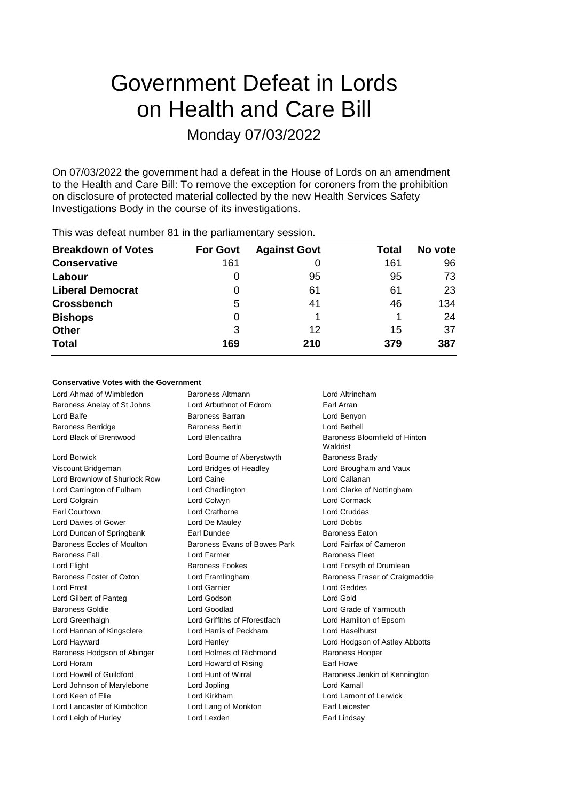# Government Defeat in Lords on Health and Care Bill Monday 07/03/2022

On 07/03/2022 the government had a defeat in the House of Lords on an amendment to the Health and Care Bill: To remove the exception for coroners from the prohibition on disclosure of protected material collected by the new Health Services Safety Investigations Body in the course of its investigations.

| <b>For Govt</b> | <b>Against Govt</b> | Total | No vote |
|-----------------|---------------------|-------|---------|
| 161             |                     | 161   | 96      |
|                 | 95                  | 95    | 73      |
| 0               | 61                  | 61    | 23      |
| 5               | 41                  | 46    | 134     |
| 0               |                     |       | 24      |
| 3               | 12                  | 15    | 37      |
| 169             | 210                 | 379   | 387     |
|                 |                     |       |         |

This was defeat number 81 in the parliamentary session.

### **Conservative Votes with the Government**

| Lord Ahmad of Wimbledon       | <b>Baroness Altmann</b>       | Lord Altrincham                           |
|-------------------------------|-------------------------------|-------------------------------------------|
| Baroness Anelay of St Johns   | Lord Arbuthnot of Edrom       | Earl Arran                                |
| Lord Balfe                    | Baroness Barran               | Lord Benyon                               |
| <b>Baroness Berridge</b>      | <b>Baroness Bertin</b>        | Lord Bethell                              |
| Lord Black of Brentwood       | Lord Blencathra               | Baroness Bloomfield of Hinton<br>Waldrist |
| Lord Borwick                  | Lord Bourne of Aberystwyth    | <b>Baroness Brady</b>                     |
| Viscount Bridgeman            | Lord Bridges of Headley       | Lord Brougham and Vaux                    |
| Lord Brownlow of Shurlock Row | Lord Caine                    | Lord Callanan                             |
| Lord Carrington of Fulham     | Lord Chadlington              | Lord Clarke of Nottingham                 |
| Lord Colgrain                 | Lord Colwyn                   | Lord Cormack                              |
| Earl Courtown                 | Lord Crathorne                | Lord Cruddas                              |
| Lord Davies of Gower          | Lord De Mauley                | <b>Lord Dobbs</b>                         |
| Lord Duncan of Springbank     | Earl Dundee                   | <b>Baroness Eaton</b>                     |
| Baroness Eccles of Moulton    | Baroness Evans of Bowes Park  | Lord Fairfax of Cameron                   |
| <b>Baroness Fall</b>          | I ord Farmer                  | <b>Baroness Fleet</b>                     |
| Lord Flight                   | <b>Baroness Fookes</b>        | Lord Forsyth of Drumlean                  |
| Baroness Foster of Oxton      | Lord Framlingham              | <b>Baroness Fraser of Craigmaddie</b>     |
| <b>Lord Frost</b>             | Lord Garnier                  | Lord Geddes                               |
| Lord Gilbert of Panteg        | Lord Godson                   | <b>Lord Gold</b>                          |
| <b>Baroness Goldie</b>        | Lord Goodlad                  | Lord Grade of Yarmouth                    |
| Lord Greenhalgh               | Lord Griffiths of Fforestfach | Lord Hamilton of Epsom                    |
| Lord Hannan of Kingsclere     | Lord Harris of Peckham        | Lord Haselhurst                           |
| Lord Hayward                  | Lord Henley                   | Lord Hodgson of Astley Abbotts            |
| Baroness Hodgson of Abinger   | Lord Holmes of Richmond       | <b>Baroness Hooper</b>                    |
| Lord Horam                    | Lord Howard of Rising         | Earl Howe                                 |
| Lord Howell of Guildford      | Lord Hunt of Wirral           | Baroness Jenkin of Kennington             |
| Lord Johnson of Marylebone    | Lord Jopling                  | Lord Kamall                               |
| Lord Keen of Elie             | Lord Kirkham                  | Lord Lamont of Lerwick                    |
| Lord Lancaster of Kimbolton   | Lord Lang of Monkton          | Earl Leicester                            |
| Lord Leigh of Hurley          | Lord Lexden                   | Earl Lindsay                              |
|                               |                               |                                           |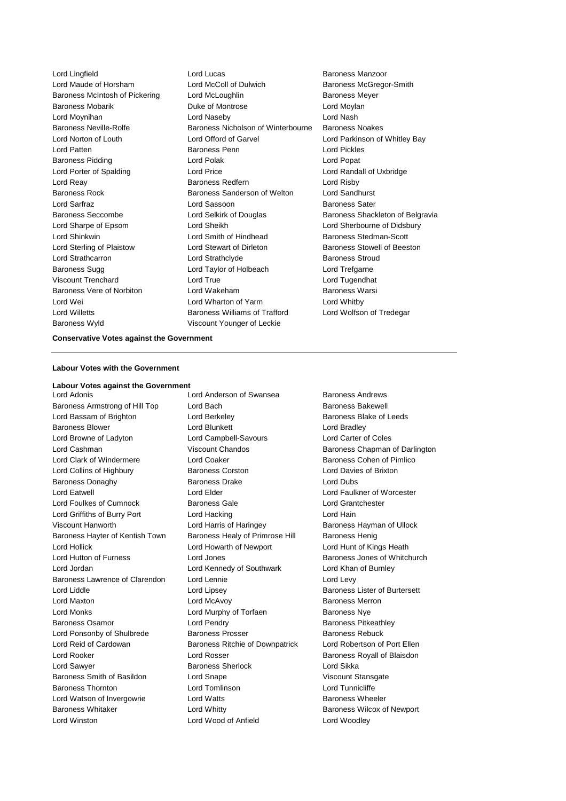Baroness Wyld Viscount Younger of Leckie

Lord Lingfield **Lord Lucas** Lord Lucas **Baroness Manzoor** Lord Maude of Horsham Lord McColl of Dulwich Baroness McGregor-Smith Baroness McIntosh of Pickering Lord McLoughlin Baroness Meyer Baroness Mobarik **Duke of Montrose** Lord Moylan Lord Moynihan Lord Naseby Lord Nash Baroness Neville-Rolfe Baroness Nicholson of Winterbourne Baroness Noakes Lord Norton of Louth Lord Offord of Garvel Lord Parkinson of Whitley Bay Lord Patten Baroness Penn Lord Pickles Baroness Pidding Lord Polak Lord Popat Lord Porter of Spalding **Lord Price Lord Randall of Uxbridge Lord Randall of Uxbridge** Lord Reay **Baroness Redfern Baroness Redfern Lord Risby** Baroness Rock Baroness Sanderson of Welton Lord Sandhurst Lord Sarfraz **Lord Sassoon** Baroness Sater Lord Sharpe of Epsom Lord Sheikh Lord Sherbourne of Didsbury Lord Shinkwin **Lord Smith of Hindhead** Baroness Stedman-Scott Lord Sterling of Plaistow Lord Stewart of Dirleton Baroness Stowell of Beeston Lord Strathcarron **Lord Strathclyde** Baroness Stroud Baroness Sugg Lord Taylor of Holbeach Lord Trefgarne Viscount Trenchard Lord True Lord Tugendhat Baroness Vere of Norbiton **Lord Wakeham** Baroness Warsi Lord Wei Lord Wharton of Yarm Lord Whitby Lord Willetts **Baroness Williams of Trafford** Lord Wolfson of Tredegar

Baroness Seccombe **Lord Selkirk of Douglas** Baroness Shackleton of Belgravia

#### **Conservative Votes against the Government**

#### **Labour Votes with the Government**

#### **Labour Votes against the Government**

Baroness Armstrong of Hill Top Lord Bach Baroness Bakewell Lord Bassam of Brighton **Lord Berkeley Baroness Blake of Leeds Baroness Blake of Leeds** Baroness Blower **Lord Blunkett** Lord Bradley Lord Browne of Ladyton Lord Campbell-Savours Lord Carter of Coles Lord Clark of Windermere Lord Coaker Baroness Cohen of Pimlico Lord Collins of Highbury Baroness Corston Lord Davies of Brixton Baroness Donaghy Baroness Drake Lord Dubs Lord Eatwell Lord Elder Lord Faulkner of Worcester Lord Foulkes of Cumnock Baroness Gale Lord Grantchester Lord Griffiths of Burry Port Lord Hacking Lord Hain Viscount Hanworth **Lord Harris of Haringey** Baroness Hayman of Ullock Baroness Hayter of Kentish Town Baroness Healy of Primrose Hill Baroness Henig Lord Hollick Lord Howarth of Newport Lord Hunt of Kings Heath Lord Hutton of Furness **Lord Jones** Baroness Jones of Whitchurch Lord Jordan Lord Kennedy of Southwark Lord Khan of Burnley Baroness Lawrence of Clarendon Lord Lennie Lord Levy Lord Liddle Lord Lipsey Baroness Lister of Burtersett Lord Maxton **Lord McAvoy Baroness Merron** Lord McAvoy Lord Monks Lord Murphy of Torfaen Baroness Nye Baroness Osamor **Baroness Community** Lord Pendry **Baroness Pricess Pitkeathley** Lord Ponsonby of Shulbrede Baroness Prosser Baroness Rebuck Lord Reid of Cardowan **Baroness Ritchie of Downpatrick** Lord Robertson of Port Ellen Lord Rooker **Lord Rosser** Communications Communications Communications Royall of Blaisdon Lord Sawyer Baroness Sherlock Lord Sikka Baroness Smith of Basildon **Lord Snape Communist Communist Communist** Viscount Stansgate Baroness Thornton Lord Tomlinson Lord Tunnicliffe Lord Watson of Invergowrie **Lord Watts Baroness Wheeler** Baroness Whitaker **Lord Whitty Lord Whitty** Baroness Wilcox of Newport Lord Winston Lord Wood of Anfield Lord Woodley

Lord Adonis **Lord Anderson of Swansea** Baroness Andrews

Lord Cashman **Viscount Chandos** Baroness Chapman of Darlington